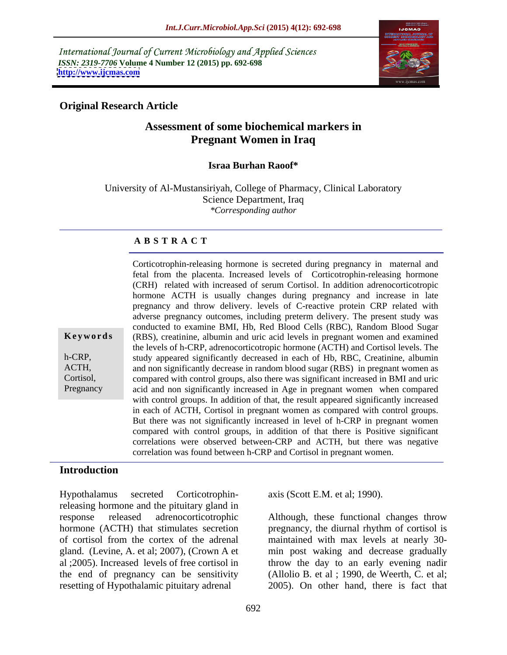International Journal of Current Microbiology and Applied Sciences *ISSN: 2319-7706* **Volume 4 Number 12 (2015) pp. 692-698 <http://www.ijcmas.com>**



## **Original Research Article**

# **Assessment of some biochemical markers in Pregnant Women in Iraq**

## **Israa Burhan Raoof\***

University of Al-Mustansiriyah, College of Pharmacy, Clinical Laboratory Science Department, Iraq *\*Corresponding author*

## **A B S T R A C T**

Corticotrophin-releasing hormone is secreted during pregnancy in maternal and fetal from the placenta. Increased levels of Corticotrophin-releasing hormone (CRH) related with increased of serum Cortisol. In addition adrenocorticotropic hormone ACTH is usually changes during pregnancy and increase in late pregnancy and throw delivery. levels of C-reactive protein CRP related with adverse pregnancy outcomes, including preterm delivery. The present study was conducted to examine BMI, Hb, Red Blood Cells (RBC), Random Blood Sugar **Keywords** (RBS), creatinine, albumin and uric acid levels in pregnant women and examined the levels of h-CRP, adrenocorticotropic hormone (ACTH) and Cortisol levels. The h-CRP, study appeared significantly decreased in each of Hb, RBC, Creatinine, albumin and non significantly decrease in random blood sugar (RBS) in pregnant women as ACTH, compared with control groups, also there was significant increased in BMI and uric Cortisol, acid and non significantly increased in Age in pregnant women when compared with control groups. In addition of that, the result appeared significantly increased in each of ACTH, Cortisol in pregnant women as compared with control groups. But there was not significantly increased in level of h-CRP in pregnant women compared with control groups, in addition of that there is Positive significant correlations were observed between-CRP and ACTH, but there was negative correlation was found between h-CRP and Cortisol in pregnant women.

## **Introduction**

Pregnancy

Hypothalamus secreted Corticotrophin-axis (Scott E.M. et al; 1990). releasing hormone and the pituitary gland in response released adrenocorticotrophic Although, these functional changes throw hormone (ACTH) that stimulates secretion pregnancy, the diurnal rhythm of cortisol is of cortisol from the cortex of the adrenal maintained with max levels at nearly 30 gland. (Levine, A. et al; 2007), (Crown A et min post waking and decrease gradually al ;2005). Increased levels of free cortisol in throw the day to an early evening nadir the end of pregnancy can be sensitivity resetting of Hypothalamic pituitary adrenal 2005). On other hand, there is fact that

(Allolio B. et al ; 1990, de Weerth, C. et al;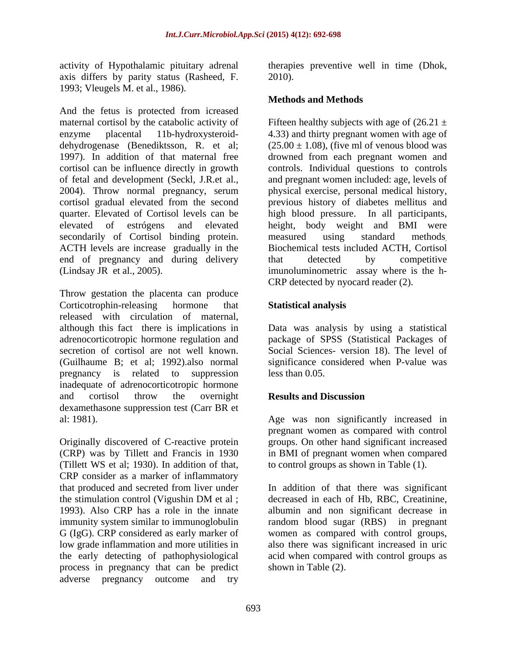axis differs by parity status (Rasheed, F. 1993; Vleugels M. et al., 1986).

And the fetus is protected from icreased maternal cortisol by the catabolic activity of Fifteen healthy subjects with age of  $(26.21 \pm$ enzyme placental 11b-hydroxysteroid- 4.33) and thirty pregnant women with age of dehydrogenase (Benediktsson, R. et al; 1997). In addition of that maternal free drowned from each pregnant women and cortisol can be influence directly in growth controls. Individual questions to controls of fetal and development (Seckl, J.R.et al., and pregnant women included: age, levels of 2004). Throw normal pregnancy, serum physical exercise, personal medical history, cortisol gradual elevated from the second previous history of diabetes mellitus and quarter. Elevated of Cortisol levels can be high blood pressure. In all participants, elevated of estrógens and elevated height, body weight and BMI were secondarily of Cortisol binding protein. measured using standard methods ACTH levels are increase gradually in the Biochemical tests included ACTH, Cortisol end of pregnancy and during delivery that detected by competitive (Lindsay JR et al., 2005). imunoluminometric assay where is the h-

Throw gestation the placenta can produce Corticotrophin-releasing hormone that **Statistical analysis** released with circulation of maternal, although this fact there is implications in Data was analysis by using a statistical adrenocorticotropic hormone regulation and package of SPSS (Statistical Packages of secretion of cortisol are not well known. Social Sciences- version 18). The level of (Guilhaume B; et al; 1992).also normal significance considered when P-value was pregnancy is related to suppression less than 0.05. inadequate of adrenocorticotropic hormone and cortisol throw the overnight **Results and Discussion** dexamethasone suppression test (Carr BR et al: 1981). Age was non significantly increased in

Originally discovered of C-reactive protein groups. On other hand significant increased (CRP) was by Tillett and Francis in 1930 in BMI of pregnant women when compared (Tillett WS et al; 1930). In addition of that, CRP consider as a marker of inflammatory process in pregnancy that can be predict adverse pregnancy outcome and try

activity of Hypothalamic pituitary adrenal therapies preventive well in time (Dhok, 2010).

## **Methods and Methods**

 $(25.00 \pm 1.08)$ , (five ml of venous blood was measured using standard methods. Biochemical tests included ACTH, Cortisol that detected by competitive CRP detected by nyocard reader (2).

## **Statistical analysis**

less than 0.05.

## **Results and Discussion**

pregnant women as compared with control to control groups as shown in Table (1).

that produced and secreted from liver under In addition of that there was significant the stimulation control (Vigushin DM et al ; decreased in each of Hb, RBC, Creatinine, 1993). Also CRP has a role in the innate albumin and non significant decrease in immunity system similar to immunoglobulin a random blood sugar (RBS) in pregnant G (IgG). CRP considered as early marker of women as compared with control groups, low grade inflammation and more utilities in also there was significant increased in uric the early detecting of pathophysiological acid when compared with control groups as decreased in each of Hb, RBC, Creatinine, shown in Table (2).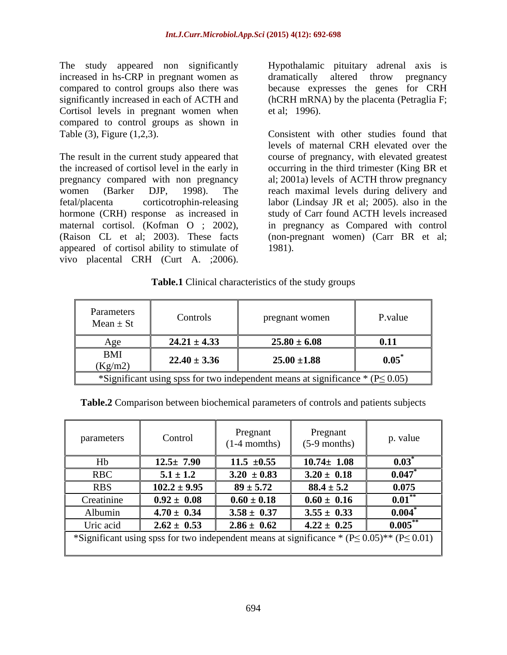The study appeared non significantly Hypothalamic pituitary adrenal axis is increased in hs-CRP in pregnant women as dramatically altered throw pregnancy compared to control groups also there was because expresses the genes for CRH significantly increased in each of ACTH and (hCRH mRNA) by the placenta (Petraglia F; Cortisol levels in pregnant women when et al: 1996). compared to control groups as shown in

hormone (CRH) response as increased in appeared of cortisol ability to stimulate of 1981).

dramatically altered throw pregnancy et al; 1996).

Table (3), Figure (1,2,3). Consistent with other studies found that The result in the current study appeared that course of pregnancy, with elevated greatest the increased of cortisol level in the early in occurring in the third trimester (King BR et pregnancy compared with non pregnancy al; 2001a) levels of ACTH throw pregnancy women (Barker DJP, 1998). The reach maximal levels during delivery and fetal/placenta corticotrophin-releasing labor (Lindsay JR et al; 2005). also in the maternal cortisol. (Kofman O ; 2002), in pregnancy as Compared with control (Raison CL et al; 2003). These facts (non-pregnant women) (Carr BR et al; The study appeared non significantly Hypothalamic pituitary adrenal axis is<br>increased in hs-CRP in pregnant women as dramatically altered throw pregnancy<br>significantly increased in each of ACTH and (hCRH mRNA) by the place levels of maternal CRH elevated over the study of Carr found ACTH levels increased 1981).

#### **Table.1** Clinical characteristics of the study groups

| Parameters<br>$Mean \pm St$ | Controls         | pregnant women                                                                     | P.value      |
|-----------------------------|------------------|------------------------------------------------------------------------------------|--------------|
| Age                         | $24.21 \pm 4.33$ | $25.80 \pm 6.08$                                                                   | 0.11         |
| BMI<br>(Kg/m2)              | $22.40 \pm 3.36$ | $25.00 \pm 1.88$                                                                   | $0.05^\circ$ |
|                             |                  | *Significant using spss for two independent means at significance * $(P \le 0.05)$ |              |

**Table.2** Comparison between biochemical parameters of controls and patients subjects

| parameters | Control                                                                                              | Pregnant<br>$(1-4$ momths) | Pregnant<br>$(5-9$ months) | p. value             |
|------------|------------------------------------------------------------------------------------------------------|----------------------------|----------------------------|----------------------|
| Hb         | $12.5 \pm 7.90$                                                                                      | $11.5 \pm 0.55$            | $10.74 \pm 1.08$           | $0.03^*$             |
| <b>RBC</b> | $5.1 \pm 1.2$                                                                                        | $3.20 \pm 0.83$            | $3.20 \pm 0.18$            | 0.047                |
| <b>RBS</b> | $102.2 \pm 9.95$                                                                                     | $89 \pm 5.72$              | $88.4 \pm 5.2$             | 0.075                |
| Creatinine | $0.92 \pm 0.08$                                                                                      | $0.60 \pm 0.18$            | $0.60 \pm 0.16$            | $\mathbf{0.01}^{**}$ |
| Albumin    | $4.70 \pm 0.34$                                                                                      | $3.58 \pm 0.37$            | $3.55 \pm 0.33$            | 0.004                |
| Uric acid  | $2.62 \pm 0.53$                                                                                      | $2.86 \pm 0.62$            | $4.22 \pm 0.25$            | $0.005$ **           |
|            | *Significant using spss for two independent means at significance * $(P \le 0.05)$ ** $(P \le 0.01)$ |                            |                            |                      |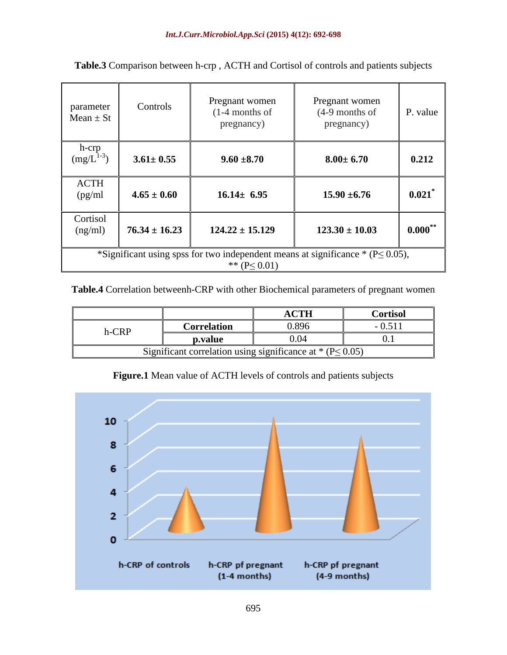| parameter<br>$Mean \pm St$ | Controls          | Pregnant women<br>$(1-4$ months of<br>pregnancy)                                                           | Pregnant women<br>$(4-9$ months of<br>pregnancy) | P. value     |
|----------------------------|-------------------|------------------------------------------------------------------------------------------------------------|--------------------------------------------------|--------------|
| h-crp<br>$(mg/L)^{1}$      | $3.61 \pm 0.55$   | $9.60 \pm 8.70$                                                                                            | $8.00 \pm 6.70$                                  | 0.212        |
| ACTH<br>(pg/ml)            | $4.65 \pm 0.60$   | $16.14 \pm 6.95$                                                                                           | $15.90 \pm 6.76$                                 | $0.021$ *    |
| Cortisol<br>(ng/ml)        | $76.34 \pm 16.23$ | $124.22 \pm 15.129$                                                                                        | $123.30 \pm 10.03$                               | $0.000^{**}$ |
|                            |                   | *Significant using spss for two independent means at significance * ( $P \le 0.05$ ),<br>** $(P \le 0.01)$ |                                                  |              |

**Table.3** Comparison between h-crp , ACTH and Cortisol of controls and patients subjects

## **Table.4** Correlation betweenh-CRP with other Biochemical parameters of pregnant women

|       |                    | <b>ACTH</b>                          | <b>Cortisol</b> |
|-------|--------------------|--------------------------------------|-----------------|
| h-CRP | <b>Porrelation</b> | 0.896                                | $-0.511$        |
|       | p.value            |                                      |                 |
|       | u correiau         | g significance at * ( $P \le 0.05$ ) |                 |

**Figure.1** Mean value of ACTH levels of controls and patients subjects

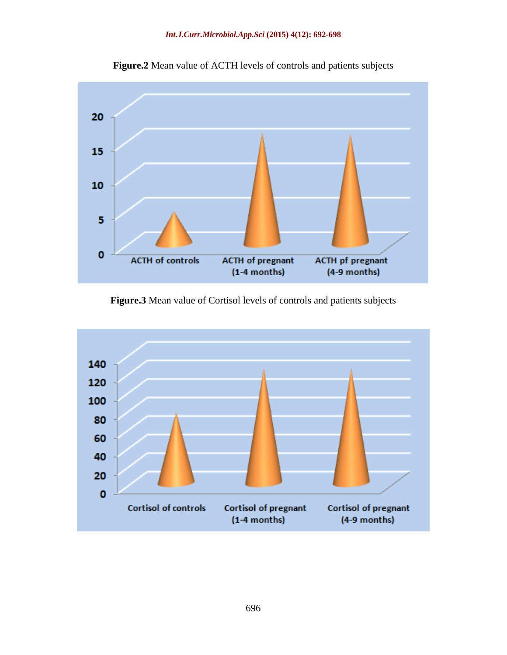#### *Int.J.Curr.Microbiol.App.Sci* **(2015) 4(12): 692-698**



**Figure.2** Mean value of ACTH levels of controls and patients subjects

**Figure.3** Mean value of Cortisol levels of controls and patients subjects

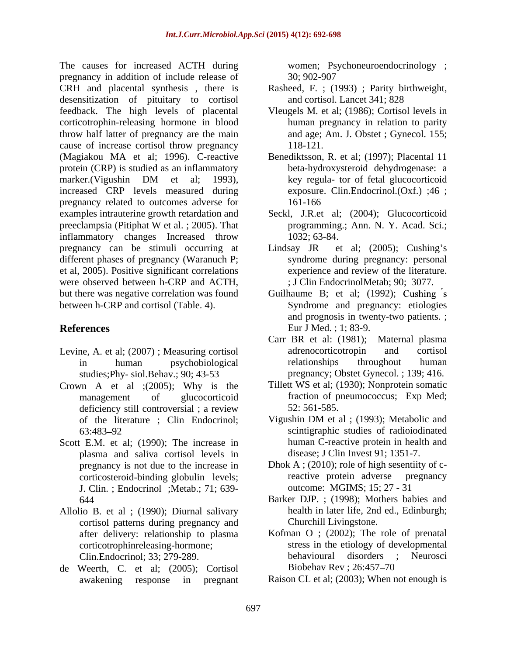The causes for increased ACTH during women; Psychoneuroendocrinology ; pregnancy in addition of include release of CRH and placental synthesis , there is Rasheed, F. ; (1993) ; Parity birthweight, desensitization of pituitary to cortisol feedback. The high levels of placental Vleugels M. et al; (1986); Cortisol levels in corticotrophin-releasing hormone in blood throw half latter of pregnancy are the main cause of increase cortisol throw pregnancy 118-121. (Magiakou MA et al; 1996). C-reactive protein (CRP) is studied as an inflammatory marker.(Vigushin DM et al; 1993), increased CRP levels measured during pregnancy related to outcomes adverse for examples intrauterine growth retardation and Seckl, J.R.et al; (2004); Glucocorticoid preeclampsia (Pitiphat W et al. ; 2005). That programming.; Ann. N. Y. Acad. Sci.; inflammatory changes Increased throw 1032; 63-84. pregnancy can be stimuli occurring at Lindsay JR et al; (2005); Cushing's different phases of pregnancy (Waranuch P; et al, 2005). Positive significant correlations experience and review of the literature. were observed between h-CRP and ACTH, but there was negative correlation was found Guilhaume B; et al; (1992); Cushing s between h-CRP and cortisol (Table. 4). Syndrome and pregnancy: etiologies

- studies;Phy- siol.Behav.; 90; 43-53
- Crown A et al  $;(2005)$ ; Why is the deficiency still controversial; a review 52:561-585.
- Scott E.M. et al; (1990); The increase in plasma and saliva cortisol levels in pregnancy is not due to the increase in Dhok A ; (2010); role of high se<br>corticosteroid-binding globulin levels: reactive protein adverse J. Clin. ; Endocrinol ;Metab.; 71; 639-
- Allolio B. et al ; (1990); Diurnal salivary cortisol patterns during pregnancy and
- de Weerth, C. et al; (2005); Cortisol awakening response in pregnant Raison CL et al; (2003); When not enough is

30; 902-907

- and cortisol. Lancet 341; 828
- human pregnancy in relation to parity and age; Am. J. Obstet ; Gynecol. 155; 118-121.
- Benediktsson, R. et al; (1997); Placental 11 beta-hydroxysteroid dehydrogenase: a key regula- tor of fetal glucocorticoid exposure. Clin.Endocrinol.(Oxf.) ;46 ; 161-166
- programming.; Ann. N. Y. Acad. Sci.; 1032; 63-84.
- Lindsay JR et al; (2005); Cushing's syndrome during pregnancy: personal ; J Clin EndocrinolMetab; 90; 3077.
- **References** Eur J Med. ; 1; 83-9. and prognosis in twenty-two patients. ; Eur J Med. ; 1; 83-9.
- Levine, A. et al; (2007); Measuring cortisol adrenocorticotropin and cortisol in human psychobiological Carr BR et al: (1981); Maternal plasma adrenocorticotropin and cortisol relationships throughout human pregnancy; Obstet Gynecol. ; 139; 416.
	- management of glucocorticoid fraction of pneumococcus; Exp Med; Tillett WS et al; (1930); Nonprotein somatic 52: 561-585.
	- of the literature ; Clin Endocrinol; Vigushin DM et al ; (1993); Metabolic and 63:483 92 scintigraphic studies of radioiodinated Vigushin DM et al ; (1993); Metabolic and human C-reactive protein in health and disease; J Clin Invest 91; 1351-7.
	- corticosteroid-binding globulin levels; Dhok A ;  $(2010)$ ; role of high sesentiity of creactive protein adverse pregnancy outcome: MGIMS; 15; 27 - 31
	- 644 Barker DJP. ; (1998); Mothers babies and health in later life, 2nd ed., Edinburgh; Churchill Livingstone.
	- after delivery: relationship to plasma Kofman O ; (2002); The role of prenatal corticotrophinreleasing-hormone; stress in the etiology of developmental Clin.Endocrinol; 33; 279-289. behavioural disorders<br>Weerth. C. et al: (2005): Cortisol Biobehav Rev ; 26:457–70 disorders ; Neurosci Biobehav Rev ; 26:457–70